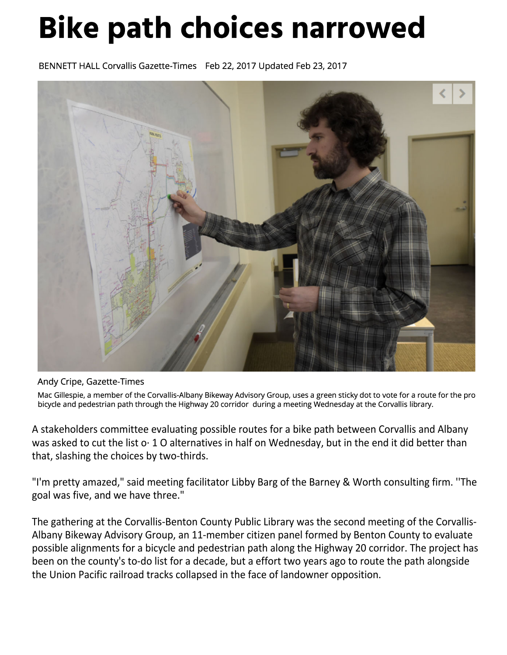## **Bike path choices narrowed**

BENNETT HALL Corvallis Gazette-Times Feb 22, 2017 Updated Feb 23, 2017



Andy Cripe, Gazette-Times

Mac Gillespie, a member of the Corvallis-Albany Bikeway Advisory Group, uses a green sticky dot to vote for a route for the pro bicycle and pedestrian path through the Highway 20 corridor during a meeting Wednesday at the Corvallis library.

A stakeholders committee evaluating possible routes for a bike path between Corvallis and Albany was asked to cut the list o· 1 O alternatives in half on Wednesday, but in the end it did better than that, slashing the choices by two-thirds.

"I'm pretty amazed," said meeting facilitator Libby Barg of the Barney & Worth consulting firm. ''The goal was five, and we have three."

The gathering at the Corvallis-Benton County Public Library was the second meeting of the Corvallis-Albany Bikeway Advisory Group, an 11-member citizen panel formed by Benton County to evaluate possible alignments for a bicycle and pedestrian path along the Highway 20 corridor. The project has been on the county's to-do list for a decade, but a effort two years ago to route the path alongside the Union Pacific railroad tracks collapsed in the face of landowner opposition.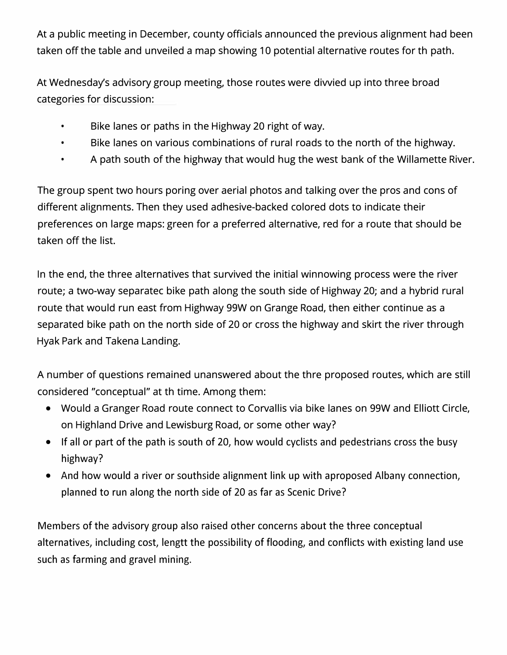At a public meeting in December, county officials announced the previous alignment had been taken off the table and unveiled a map showing 10 potential alternative routes for th path.

At Wednesday's advisory group meeting, those routes were diwied up into three broad categories for discussion:

- Bike lanes or paths in the Highway 20 right of way.
- Bike lanes on various combinations of rural roads to the north of the highway.
- A path south of the highway that would hug the west bank of the Willamette River.

The group spent two hours poring over aerial photos and talking over the pros and cons of different alignments. Then they used adhesive-backed colored dots to indicate their preferences on large maps: green for a preferred alternative, red for a route that should be taken off the list.

In the end, the three alternatives that survived the initial winnowing process were the river route; a two-way separatec bike path along the south side of Highway 20; and a hybrid rural route that would run east from Highway 99W on Grange Road, then either continue as a separated bike path on the north side of 20 or cross the highway and skirt the river through Hyak Park and Takena Landing.

A number of questions remained unanswered about the thre proposed routes, which are still considered "conceptual" at th time. Among them:

- Would a Granger Road route connect to Corvallis via bike lanes on 99W and Elliott Circle, on Highland Drive and Lewisburg Road, or some other way?
- If all or part of the path is south of 20, how would cyclists and pedestrians cross the busy highway?
- And how would a river or southside alignment link up with aproposed Albany connection, planned to run along the north side of 20 as far as Scenic Drive?

Members of the advisory group also raised other concerns about the three conceptual alternatives, including cost, lengtt the possibility of flooding, and conflicts with existing land use such as farming and gravel mining.